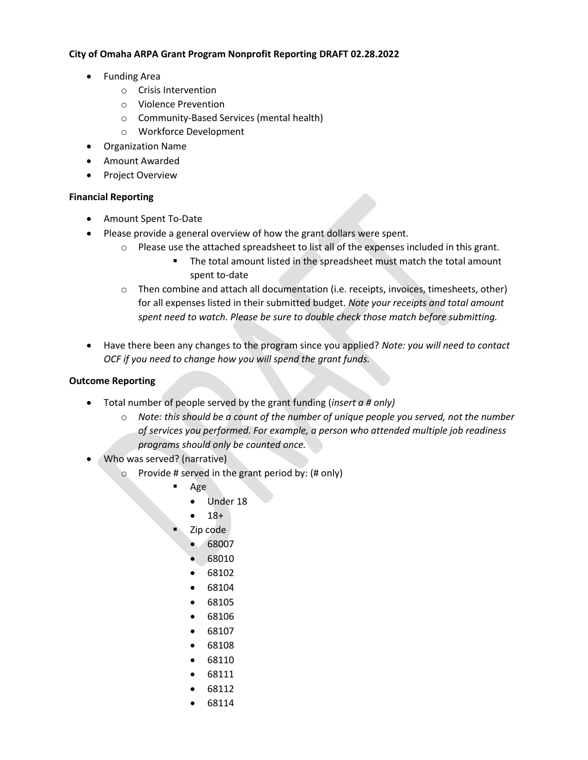## **City of Omaha ARPA Grant Program Nonprofit Reporting DRAFT 02.28.2022**

- Funding Area
	- o Crisis Intervention
	- o Violence Prevention
	- o Community-Based Services (mental health)
	- o Workforce Development
- Organization Name
- Amount Awarded
- Project Overview

## **Financial Reporting**

- Amount Spent To-Date
- Please provide a general overview of how the grant dollars were spent.
	- $\circ$  Please use the attached spreadsheet to list all of the expenses included in this grant.
		- The total amount listed in the spreadsheet must match the total amount spent to-date
	- $\circ$  Then combine and attach all documentation (i.e. receipts, invoices, timesheets, other) for all expenses listed in their submitted budget. *Note your receipts and total amount spent need to watch. Please be sure to double check those match before submitting.*
- Have there been any changes to the program since you applied? *Note: you will need to contact OCF if you need to change how you will spend the grant funds.*

## **Outcome Reporting**

- Total number of people served by the grant funding (*insert a # only)* 
	- o *Note: this should be a count of the number of unique people you served, not the number of services you performed. For example, a person who attended multiple job readiness programs should only be counted once.*
- Who was served? (narrative)
	- Provide # served in the grant period by: (# only)
		- Age
			- Under 18
			- $18+$
		- Zip code
			- 68007
			- 68010
			- 68102
			- 68104
			- 68105
			- 68106
			- 68107
			- 68108
			- 68110
			- 68111
			- 68112
			-
			- 68114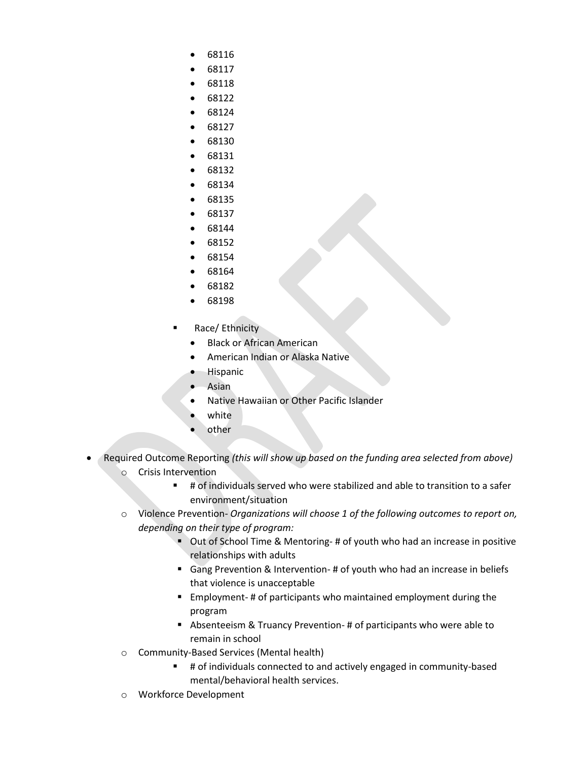- 68116
- 68117
- 68118
- 68122
- 68124
- 68127
- 68130
- 68131
- 68132
- 68134
- 68135
- 68137 • 68144
- 68152
- 68154
- 68164
- 68182
- 68198
- Race/ Ethnicity
	- Black or African American
	- American Indian or Alaska Native
	- **Hispanic**
	- **Asian**
	- Native Hawaiian or Other Pacific Islander
	- white
	- other
- Required Outcome Reporting *(this will show up based on the funding area selected from above)*  o Crisis Intervention
	- # of individuals served who were stabilized and able to transition to a safer environment/situation
	- o Violence Prevention- *Organizations will choose 1 of the following outcomes to report on, depending on their type of program:*
		- Out of School Time & Mentoring- # of youth who had an increase in positive relationships with adults
		- Gang Prevention & Intervention- # of youth who had an increase in beliefs that violence is unacceptable
		- Employment-# of participants who maintained employment during the program
		- Absenteeism & Truancy Prevention- # of participants who were able to remain in school
	- o Community-Based Services (Mental health)
		- # of individuals connected to and actively engaged in community-based mental/behavioral health services.
	- o Workforce Development